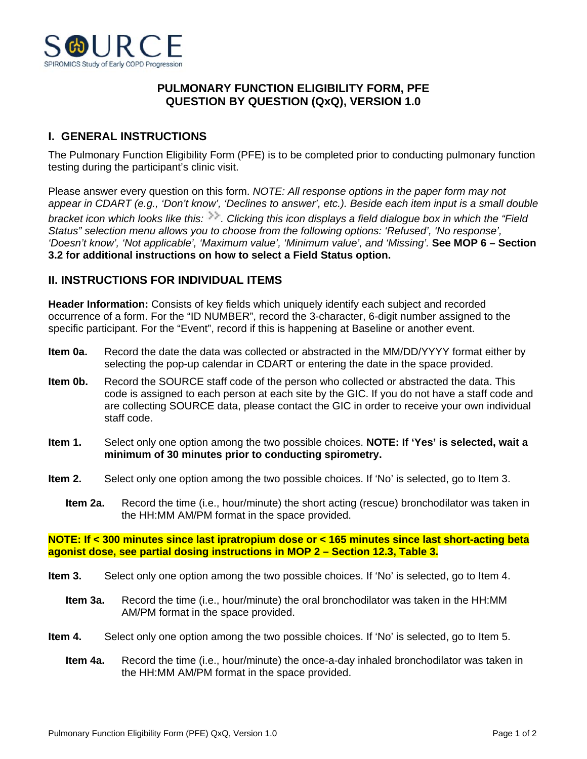

## **PULMONARY FUNCTION ELIGIBILITY FORM, PFE QUESTION BY QUESTION (QxQ), VERSION 1.0**

## **I. GENERAL INSTRUCTIONS**

The Pulmonary Function Eligibility Form (PFE) is to be completed prior to conducting pulmonary function testing during the participant's clinic visit.

Please answer every question on this form. *NOTE: All response options in the paper form may not appear in CDART (e.g., 'Don't know', 'Declines to answer', etc.). Beside each item input is a small double bracket icon which looks like this: . Clicking this icon displays a field dialogue box in which the "Field Status" selection menu allows you to choose from the following options: 'Refused', 'No response', 'Doesn't know', 'Not applicable', 'Maximum value', 'Minimum value', and 'Missing'.* **See MOP 6 – Section 3.2 for additional instructions on how to select a Field Status option.**

## **II. INSTRUCTIONS FOR INDIVIDUAL ITEMS**

**Header Information:** Consists of key fields which uniquely identify each subject and recorded occurrence of a form. For the "ID NUMBER", record the 3-character, 6-digit number assigned to the specific participant. For the "Event", record if this is happening at Baseline or another event.

- **Item 0a.** Record the date the data was collected or abstracted in the MM/DD/YYYY format either by selecting the pop-up calendar in CDART or entering the date in the space provided.
- **Item 0b.** Record the SOURCE staff code of the person who collected or abstracted the data. This code is assigned to each person at each site by the GIC. If you do not have a staff code and are collecting SOURCE data, please contact the GIC in order to receive your own individual staff code.
- **Item 1.** Select only one option among the two possible choices. **NOTE: If 'Yes' is selected, wait a minimum of 30 minutes prior to conducting spirometry.**
- **Item 2.** Select only one option among the two possible choices. If 'No' is selected, go to Item 3.
	- **Item 2a.** Record the time (i.e., hour/minute) the short acting (rescue) bronchodilator was taken in the HH:MM AM/PM format in the space provided.

**NOTE: If < 300 minutes since last ipratropium dose or < 165 minutes since last short-acting beta agonist dose, see partial dosing instructions in MOP 2 – Section 12.3, Table 3.**

- **Item 3.** Select only one option among the two possible choices. If 'No' is selected, go to Item 4.
	- **Item 3a.** Record the time (i.e., hour/minute) the oral bronchodilator was taken in the HH:MM AM/PM format in the space provided.
- **Item 4.** Select only one option among the two possible choices. If 'No' is selected, go to Item 5.
	- **Item 4a.** Record the time (i.e., hour/minute) the once-a-day inhaled bronchodilator was taken in the HH:MM AM/PM format in the space provided.